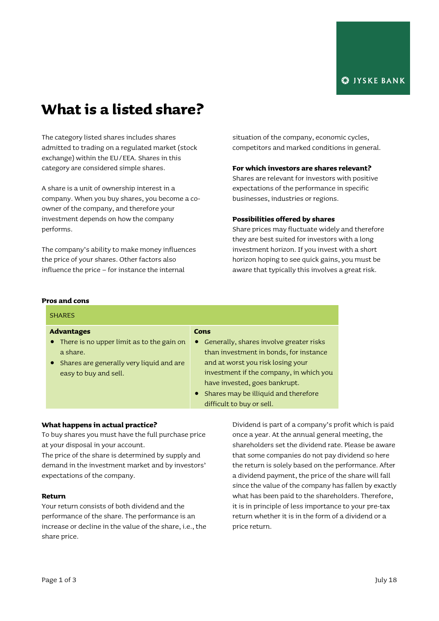# **What is a listed share?**

The category listed shares includes shares admitted to trading on a regulated market (stock exchange) within the EU/EEA. Shares in this category are considered simple shares.

A share is a unit of ownership interest in a company. When you buy shares, you become a coowner of the company, and therefore your investment depends on how the company performs.

The company's ability to make money influences the price of your shares. Other factors also influence the price – for instance the internal

situation of the company, economic cycles, competitors and marked conditions in general.

## **For which investors are shares relevant?**

Shares are relevant for investors with positive expectations of the performance in specific businesses, industries or regions.

## **Possibilities offered by shares**

Share prices may fluctuate widely and therefore they are best suited for investors with a long investment horizon. If you invest with a short horizon hoping to see quick gains, you must be aware that typically this involves a great risk.

#### **Pros and cons**

## SHARES **Advantages** • There is no upper limit as to the gain on a share. Shares are generally very liquid and are easy to buy and sell. **Cons** Generally, shares involve greater risks than investment in bonds, for instance and at worst you risk losing your investment if the company, in which you have invested, goes bankrupt. • Shares may be illiquid and therefore difficult to buy or sell. **What happens in actual practice?** To buy shares you must have the full purchase price

at your disposal in your account.

The price of the share is determined by supply and demand in the investment market and by investors' expectations of the company.

### **Return**

Your return consists of both dividend and the performance of the share. The performance is an increase or decline in the value of the share, i.e., the share price.

Dividend is part of a company's profit which is paid once a year. At the annual general meeting, the shareholders set the dividend rate. Please be aware that some companies do not pay dividend so here the return is solely based on the performance. After a dividend payment, the price of the share will fall since the value of the company has fallen by exactly what has been paid to the shareholders. Therefore, it is in principle of less importance to your pre-tax return whether it is in the form of a dividend or a price return.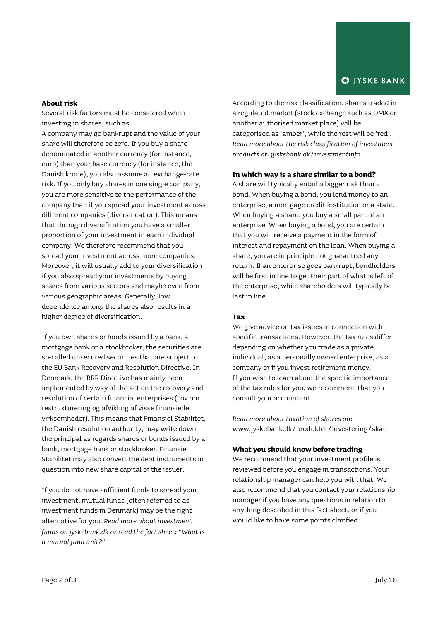## **About risk**

Several risk factors must be considered when investing in shares, such as:

A company may go bankrupt and the value of your share will therefore be zero. If you buy a share denominated in another currency (for instance, euro) than your base currency (for instance, the Danish krone), you also assume an exchange-rate risk. If you only buy shares in one single company, you are more sensitive to the performance of the company than if you spread your investment across different companies (diversification). This means that through diversification you have a smaller proportion of your investment in each individual company. We therefore recommend that you spread your investment across more companies. Moreover, it will usually add to your diversification if you also spread your investments by buying shares from various sectors and maybe even from various geographic areas. Generally, low dependence among the shares also results in a higher degree of diversification.

If you own shares or bonds issued by a bank, a mortgage bank or a stockbroker, the securities are so-called unsecured securities that are subject to the EU Bank Recovery and Resolution Directive. In Denmark, the BRR Directive has mainly been implemented by way of the act on the recovery and resolution of certain financial enterprises (Lov om restrukturering og afvikling af visse finansielle virksomheder). This means that Finansiel Stabilitet, the Danish resolution authority, may write down the principal as regards shares or bonds issued by a bank, mortgage bank or stockbroker. Finansiel Stabilitet may also convert the debt instruments in question into new share capital of the issuer.

If you do not have sufficient funds to spread your investment, mutual funds (often referred to as investment funds in Denmark) may be the right alternative for you. *Read more about investment funds on jyskebank.dk or read the fact sheet: "What is a mutual fund unit?".*

According to the risk classification, shares traded in a regulated market (stock exchange such as OMX or another authorised market place) will be categorised as 'amber', while the rest will be 'red'. *Read more about the risk classification of investment products at: jyskebank.dk/investmentinfo*

## **In which way is a share similar to a bond?**

A share will typically entail a bigger risk than a bond. When buying a bond, you lend money to an enterprise, a mortgage credit institution or a state. When buying a share, you buy a small part of an enterprise. When buying a bond, you are certain that you will receive a payment in the form of interest and repayment on the loan. When buying a share, you are in principle not guaranteed any return. If an enterprise goes bankrupt, bondholders will be first in line to get their part of what is left of the enterprise, while shareholders will typically be last in line.

### **Tax**

We give advice on tax issues in connection with specific transactions. However, the tax rules differ depending on whether you trade as a private individual, as a personally owned enterprise, as a company or if you invest retirement money. If you wish to learn about the specific importance of the tax rules for you, we recommend that you consult your accountant.

*Read more about taxation of shares on:* www.jyskebank.dk/produkter/investering/skat

## **What you should know before trading**

We recommend that your investment profile is reviewed before you engage in transactions. Your relationship manager can help you with that. We also recommend that you contact your relationship manager if you have any questions in relation to anything described in this fact sheet, or if you would like to have some points clarified.